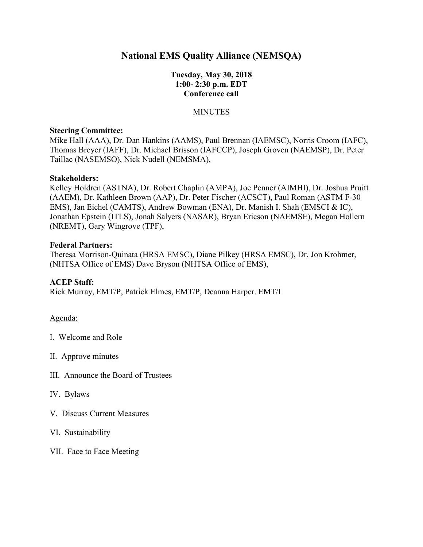# **National EMS Quality Alliance (NEMSQA)**

## **Tuesday, May 30, 2018 1:00- 2:30 p.m. EDT Conference call**

### **MINUTES**

### **Steering Committee:**

Mike Hall (AAA), Dr. Dan Hankins (AAMS), Paul Brennan (IAEMSC), Norris Croom (IAFC), Thomas Breyer (IAFF), Dr. Michael Brisson (IAFCCP), Joseph Groven (NAEMSP), Dr. Peter Taillac (NASEMSO), Nick Nudell (NEMSMA),

#### **Stakeholders:**

Kelley Holdren (ASTNA), Dr. Robert Chaplin (AMPA), Joe Penner (AIMHI), Dr. Joshua Pruitt (AAEM), Dr. Kathleen Brown (AAP), Dr. Peter Fischer (ACSCT), Paul Roman (ASTM F-30 EMS), Jan Eichel (CAMTS), Andrew Bowman (ENA), Dr. Manish I. Shah (EMSCI & IC), Jonathan Epstein (ITLS), Jonah Salyers (NASAR), Bryan Ericson (NAEMSE), Megan Hollern (NREMT), Gary Wingrove (TPF),

#### **Federal Partners:**

Theresa Morrison-Quinata (HRSA EMSC), Diane Pilkey (HRSA EMSC), Dr. Jon Krohmer, (NHTSA Office of EMS) Dave Bryson (NHTSA Office of EMS),

### **ACEP Staff:**

Rick Murray, EMT/P, Patrick Elmes, EMT/P, Deanna Harper. EMT/I

#### Agenda:

I. Welcome and Role

II. Approve minutes

- III. Announce the Board of Trustees
- IV. Bylaws
- V. Discuss Current Measures
- VI. Sustainability
- VII. Face to Face Meeting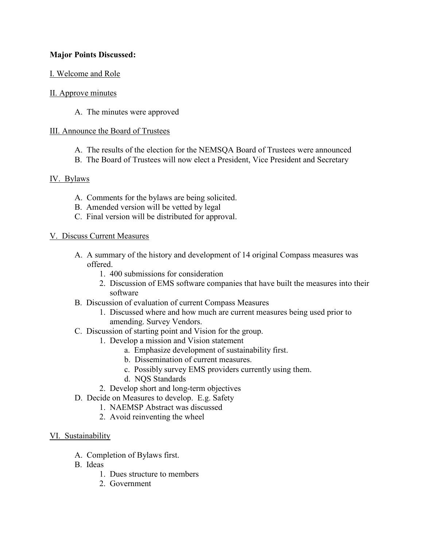### **Major Points Discussed:**

### I. Welcome and Role

### II. Approve minutes

A. The minutes were approved

### III. Announce the Board of Trustees

- A. The results of the election for the NEMSQA Board of Trustees were announced
- B. The Board of Trustees will now elect a President, Vice President and Secretary

### IV. Bylaws

- A. Comments for the bylaws are being solicited.
- B. Amended version will be vetted by legal
- C. Final version will be distributed for approval.

### V. Discuss Current Measures

- A. A summary of the history and development of 14 original Compass measures was offered.
	- 1. 400 submissions for consideration
	- 2. Discussion of EMS software companies that have built the measures into their software
- B. Discussion of evaluation of current Compass Measures
	- 1. Discussed where and how much are current measures being used prior to amending. Survey Vendors.
- C. Discussion of starting point and Vision for the group.
	- 1. Develop a mission and Vision statement
		- a. Emphasize development of sustainability first.
		- b. Dissemination of current measures.
		- c. Possibly survey EMS providers currently using them.
		- d. NQS Standards
	- 2. Develop short and long-term objectives
- D. Decide on Measures to develop. E.g. Safety
	- 1. NAEMSP Abstract was discussed
		- 2. Avoid reinventing the wheel

### VI. Sustainability

- A. Completion of Bylaws first.
- B. Ideas
	- 1. Dues structure to members
	- 2. Government